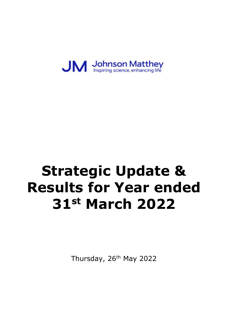

# **Strategic Update & Results for Year ended 31st March 2022**

Thursday, 26<sup>th</sup> May 2022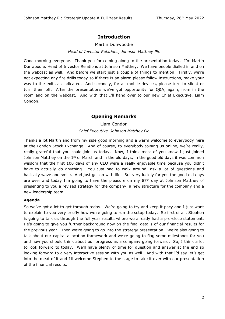# **Introduction**

# Martin Dunwoodie

## *Head of Investor Relations, Johnson Matthey Plc*

Good morning everyone. Thank you for coming along to the presentation today. I'm Martin Dunwoodie, Head of Investor Relations at Johnson Matthey. We have people dialled in and on the webcast as well. And before we start just a couple of things to mention. Firstly, we're not expecting any fire drills today so if there is an alarm please follow instructions, make your way to the exits as indicated. And secondly, for all mobile devices, please turn to silent or turn them off. After the presentations we've got opportunity for Q&A, again, from in the room and on the webcast. And with that I'll hand over to our new Chief Executive, Liam Condon.

# **Opening Remarks**

Liam Condon

# *Chief Executive, Johnson Matthey Plc*

Thanks a lot Martin and from my side good morning and a warm welcome to everybody here at the London Stock Exchange. And of course, to everybody joining us online, we're really, really grateful that you could join us today. Now, I think most of you know I just joined Johnson Matthey on the  $1<sup>st</sup>$  of March and in the old days, in the good old days it was common wisdom that the first 100 days of any CEO were a really enjoyable time because you didn't have to actually do anything. You just had to walk around, ask a lot of questions and basically wave and smile. And just get on with life. But very luckily for you the good old days are over and today I'm going to have the pleasure on my  $87<sup>th</sup>$  day at Johnson Matthey of presenting to you a revised strategy for the company, a new structure for the company and a new leadership team.

# **Agenda**

So we've got a lot to get through today. We're going to try and keep it pacy and I just want to explain to you very briefly how we're going to run the setup today. So first of all, Stephen is going to talk us through the full year results where we already had a pre-close statement. He's going to give you further background now on the final details of our financial results for the previous year. Then we're going to go into the strategy presentation. We're also going to talk about our capital allocation framework and we're going to flag some milestones for you and how you should think about our progress as a company going forward. So, I think a lot to look forward to today. We'll have plenty of time for question and answer at the end so looking forward to a very interactive session with you as well. And with that I'd say let's get into the meat of it and I'll welcome Stephen to the stage to take it over with our presentation of the financial results.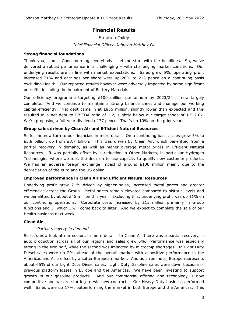# **Financial Results**

Stephen Oxley *Chief Financial Officer, Johnson Matthey Plc*

#### **Strong financial foundations**

Thank you, Liam. Good morning, everybody. Let me start with the headlines. So, we've delivered a robust performance in a challenging – with challenging market conditions. Our underlying results are in line with market expectations. Sales grew 5%, operating profit increased 21% and earnings per share were up 26% to 213 pence on a continuing basis excluding Health. Our reported results however were adversely impacted by some significant one-offs, including the impairment of Battery Materials.

Our efficiency programme targeting £100 million per annum by 2023/24 is now largely complete. And we continue to maintain a strong balance sheet and manage our working capital efficiently. Net debt came in at  $E856$  million, slightly lower than expected and this resulted in a net debt to EBITDA ratio of 1.2, slightly below our target range of 1.5-2.0x. We're proposing a full-year dividend of 77 pence. That's up 10% on the prior year.

## **Group sales driven by Clean Air and Efficient Natural Resources**

So let me now turn to our financials in more detail. On a continuing basis, sales grew 5% to £3.8 billion, up from £3.7 billion. This was driven by Clean Air, which benefitted from a partial recovery in demand, as well as higher average metal prices in Efficient Natural Resources. It was partially offset by a reduction in Other Markets, in particular Hydrogen Technologies where we took the decision to use capacity to qualify new customer products. We had an adverse foreign exchange impact of around  $£100$  million mainly due to the depreciation of the euro and the US dollar.

#### **Improved performance in Clean Air and Efficient Natural Resources**

Underlying profit grew 21% driven by higher sales, increased metal prices and greater efficiencies across the Group. Metal prices remain elevated compared to historic levels and we benefitted by about  $£45$  million this year. Excluding this, underlying profit was up 11% on our continuing operations. Corporate costs increased by  $£13$  million primarily in Group functions and IT which I will come back to later. And we expect to complete the sale of our Health business next week.

#### **Clean Air**

# *Partial recovery in demand*

So let's now look at our sectors in more detail. In Clean Air there was a partial recovery in auto production across all of our regions and sales grew 5%. Performance was especially strong in the first half, while the second was impacted by microchip shortages. In Light Duty Diesel sales were up 2%, ahead of the overall market with a positive performance in the Americas and Asia offset by a softer European market. And as a reminder, Europe represents about 65% of our Light Duty Diesel sales. Light Duty Gasoline sales were down because of previous platform losses in Europe and the Americas. We have been investing to support growth in our gasoline products. And our commercial offering and technology is now competitive and we are starting to win new contracts. Our Heavy-Duty business performed well. Sales were up 17%, outperforming the market in both Europe and the Americas. This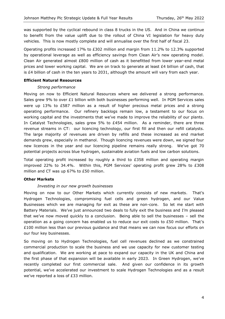was supported by the cyclical rebound in class 8 trucks in the US. And in China we continue to benefit from the value uplift due to the rollout of China VI legislation for heavy duty vehicles. This is now mostly complete and will annualise over the first half of fiscal 23.

Operating profits increased 17% to £302 million and margin from 11.2% to 12.3% supported by operational leverage as well as efficiency savings from Clean Air's new operating model. Clean Air generated almost £800 million of cash as it benefitted from lower year-end metal prices and lower working capital. We are on track to generate at least £4 billion of cash, that is £4 billion of cash in the ten years to 2031, although the amount will vary from each year.

## **Efficient Natural Resources**

## *Strong performance*

Moving on now to Efficient Natural Resources where we delivered a strong performance. Sales grew 9% to over £1 billion with both businesses performing well. In PGM Services sales were up 13% to £587 million as a result of higher precious metal prices and a strong operating performance. Our refinery backlogs remain low, a testament to our focus on working capital and the investments that we've made to improve the reliability of our plants. In Catalyst Technologies, sales grew 5% to £454 million. As a reminder, there are three revenue streams in CT: our licencing technology, our first fill and then our refill catalysts. The large majority of revenues are driven by refills and these increased as end market demands grew, especially in methanol. Though licencing revenues were down, we signed four new licences in the year and our licencing pipeline remains really strong. We've got 70 potential projects across blue hydrogen, sustainable aviation fuels and low carbon solutions.

Total operating profit increased by roughly a third to £358 million and operating margin improved 22% to 34.4%. Within this, PGM Services' operating profit grew 28% to £308 million and CT was up 67% to £50 million.

# **Other Markets**

# *Investing in our new growth businesses*

Moving on now to our Other Markets which currently consists of new markets. That's Hydrogen Technologies, compromising fuel cells and green hydrogen, and our Value Businesses which we are managing for exit as these are non-core. So let me start with Battery Materials. We've just announced two deals to fully exit the business and I'm pleased that we've now moved quickly to a conclusion. Being able to sell the businesses – sell the operation as a going concern has enabled us to reduce our exit costs to  $E50$  million. That's £100 million less than our previous guidance and that means we can now focus our efforts on our four key businesses.

So moving on to Hydrogen Technologies, fuel cell revenues declined as we constrained commercial production to scale the business and we use capacity for new customer testing and qualification. We are working at pace to expand our capacity in the UK and China and the first phase of that expansion will be available in early 2023. In Green Hydrogen, we've recently completed our first commercial sale. And given our confidence in its growth potential, we've accelerated our investment to scale Hydrogen Technologies and as a result we've reported a loss of £33 million.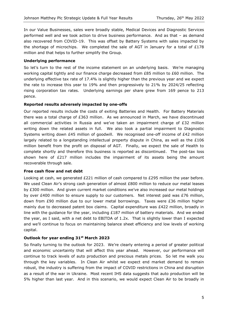In our Value Businesses, sales were broadly stable, Medical Devices and Diagnostic Services performed well and we took action to drive business performance. And as that – as demand also recovered from COVID-19. This was offset by Battery Systems with sales impacted by the shortage of microchips. We completed the sale of AGT in January for a total of £178 million and that helps to further simplify the Group.

#### **Underlying performance**

So let's turn to the rest of the income statement on an underlying basis. We're managing working capital tightly and our finance charge decreased from  $£85$  million to  $£60$  million. The underlying effective tax rate of 17.4% is slightly higher than the previous year and we expect the rate to increase this year to 19% and then progressively to 21% by 2024/25 reflecting rising corporation tax rates. Underlying earnings per share grew from 169 pence to 213 pence.

## **Reported results adversely impacted by one-offs**

Our reported results include the costs of exiting Batteries and Health. For Battery Materials there was a total charge of £363 million. As we announced in March, we have discontinued all commercial activities in Russia and we've taken an impairment charge of £32 million writing down the related assets in full. We also took a partial impairment to Diagnostic Systems writing down £45 million of goodwill. We recognised one-off income of £42 million largely related to a longstanding intellectual property dispute in China, as well as the  $£106$ million benefit from the profit on disposal of AGT. Finally, we expect the sale of Health to complete shortly and therefore this business is reported as discontinued. The post-tax loss shown here of £217 million includes the impairment of its assets being the amount recoverable through sale.

#### **Free cash flow and net debt**

Looking at cash, we generated £221 million of cash compared to £295 million the year before. We used Clean Air's strong cash generation of almost  $£800$  million to reduce our metal leases by £300 million. And given current market conditions we've also increased our metal holdings by over  $£400$  million to ensure supply to our customers. Net interest paid was  $£76$  million, down from £90 million due to our lower metal borrowings. Taxes were £36 million higher mainly due to decreased patent box claims. Capital expenditure was  $E422$  million, broadly in line with the guidance for the year, including  $£187$  million of battery materials. And we ended the year, as I said, with a net debt to EBITDA of 1.2x. That is slightly lower than I expected and we'll continue to focus on maintaining balance sheet efficiency and low levels of working capital.

# **Outlook for year ending 31st March 2023**

So finally turning to the outlook for 2023. We're clearly entering a period of greater political and economic uncertainty that will affect this year ahead. However, our performance will continue to track levels of auto production and precious metals prices. So let me walk you through the key variables. In Clean Air whilst we expect end market demand to remain robust, the industry is suffering from the impact of COVID restrictions in China and disruption as a result of the war in Ukraine. Most recent IHS data suggests that auto production will be 5% higher than last year. And in this scenario, we would expect Clean Air to be broadly in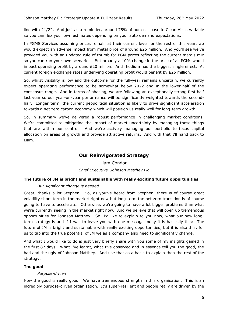line with 21/22. And just as a reminder, around 75% of our cost base in Clean Air is variable so you can flex your own estimates depending on your auto demand expectations.

In PGMS Services assuming prices remain at their current level for the rest of this year, we would expect an adverse impact from metal price of around £25 million. And you'll see we've provided you with an updated rule of thumb for PGM prices reflecting the current metals mix so you can run your own scenarios. But broadly a 10% change in the price of all PGMs would impact operating profit by around £20 million. And rhodium has the biggest single effect. At current foreign exchange rates underlying operating profit would benefit by £25 million.

So, whilst visibility is low and the outcome for the full-year remains uncertain, we currently expect operating performance to be somewhat below 2022 and in the lower-half of the consensus range. And in terms of phasing, we are following an exceptionally strong first half last year so our year-on-year performance will be significantly weighted towards the secondhalf. Longer term, the current geopolitical situation is likely to drive significant acceleration towards a net zero carbon economy which will position us really well for long-term growth.

So, in summary we've delivered a robust performance in challenging market conditions. We're committed to mitigating the impact of market uncertainty by managing those things that are within our control. And we're actively managing our portfolio to focus capital allocation on areas of growth and provide attractive returns. And with that I'll hand back to Liam.

# **Our Reinvigorated Strategy**

Liam Condon *Chief Executive, Johnson Matthey Plc*

# **The future of JM is bright and sustainable with really exciting future opportunities**

# *But significant change is needed*

Great, thanks a lot Stephen. So, as you've heard from Stephen, there is of course great volatility short-term in the market right now but long-term the net zero transition is of course going to have to accelerate. Otherwise, we're going to have a lot bigger problems than what we're currently seeing in the market right now. And we believe that will open up tremendous opportunities for Johnson Matthey. So, I'd like to explain to you now, what our new longterm strategy is and if I was to leave you with one message today it is basically this: The future of JM is bright and sustainable with really exciting opportunities, but it is also this: for us to tap into the true potential of JM we as a company also need to significantly change.

And what I would like to do is just very briefly share with you some of my insights gained in the first 87 days. What I've learnt, what I've observed and in essence tell you the good, the bad and the ugly of Johnson Matthey. And use that as a basis to explain then the rest of the strategy.

# **The good**

# *Purpose-driven*

Now the good is really good. We have tremendous strength in this organisation. This is an incredibly purpose-driven organisation. It's super-resilient and people really are driven by the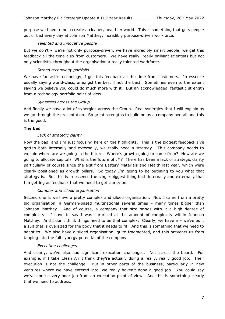purpose we have to help create a cleaner, healthier world. This is something that gets people out of bed every day at Johnson Matthey, incredibly purpose-driven workforce.

# *Talented and innovative people*

But we don't – we're not only purpose-driven, we have incredibly smart people, we get this feedback all the time also from customers. We have really, really brilliant scientists but not only scientists, throughout the organisation a really talented workforce.

# *Strong technology portfolio*

We have fantastic technology, I get this feedback all the time from customers. In essence usually saying world-class, amongst the best if not the best. Sometimes even to the extent saying we believe you could do much more with it. But an acknowledged, fantastic strength from a technology portfolio point of view.

# *Synergies across the Group*

And finally we have a lot of synergies across the Group. Real synergies that I will explain as we go through the presentation. So great strengths to build on as a company overall and this is the good.

## **The bad**

# *Lack of strategic clarity*

Now the bad, and I'm just focusing here on the highlights. This is the biggest feedback I've gotten both internally and externally, we really need a strategy. This company needs to explain where are we going in the future. Where's growth going to come from? How are we going to allocate capital? What is the future of JM? There has been a lack of strategic clarity particularly of course since the exit from Battery Materials and Health last year, which were clearly positioned as growth pillars. So today I'm going to be outlining to you what that strategy is. But this is in essence the single-biggest thing both internally and externally that I'm getting as feedback that we need to get clarity on.

# *Complex and siloed organisation*

Second one is we have a pretty complex and siloed organisation. Now I came from a pretty big organisation, a German-based multinational several times – many times bigger than Johnson Matthey. And of course, a company that size brings with it a high degree of complexity. I have to say I was surprised at the amount of complexity within Johnson Matthey. And I don't think things need to be that complex. Clearly, we have  $a -$  we've built a suit that is oversized for the body that it needs to fit. And this is something that we need to adapt to. We also have a siloed organisation, quite fragmented, and this prevents us from tapping into the full synergy potential of the company.

#### *Execution challenges*

And clearly, we've also had significant execution challenges. Not across the board. For example, if I take Clean Air I think they're actually doing a really, really good job. Their execution is not the challenge. But in other parts of the business, particularly in new ventures where we have entered into, we really haven't done a good job. You could say we've done a very poor job from an execution point of view. And this is something clearly that we need to address.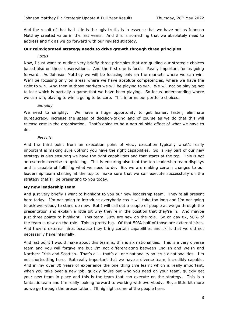And the result of that bad side is the ugly truth, is in essence that we have not as Johnson Matthey created value in the last years. And this is something that we absolutely need to address and fix as we go forward with our revised strategy.

#### **Our reinvigorated strategy needs to drive growth through three principles**

#### *Focus*

Now, I just want to outline very briefly three principles that are guiding our strategic choices based also on these observations. And the first one is focus. Really important for us going forward. As Johnson Matthey we will be focusing only on the markets where we can win. We'll be focusing only on areas where we have absolute competencies, where we have the right to win. And then in those markets we will be playing to win. We will not be playing not to lose which is partially a game that we have been playing. So focus understanding where we can win, playing to win is going to be core. This informs our portfolio choices.

#### *Simplify*

We need to simplify. We have a huge opportunity to get leaner, faster, eliminate bureaucracy, increase the speed of decision-taking and of course as we do that this will release cost in the organisation. That's going to be a natural side effect of what we have to do.

## *Execute*

And the third point from an execution point of view, execution typically what's really important is making sure upfront you have the right capabilities. So, a key part of our new strategy is also ensuring we have the right capabilities and that starts at the top. This is not an esoteric exercise in upskilling. This is ensuring also that the top leadership team displays and is capable of fulfilling what we need to do. So, we are making certain changes to our leadership team starting at the top to make sure that we can execute successfully on the strategy that I'll be presenting to you today.

# **My new leadership team**

And just very briefly I want to highlight to you our new leadership team. They're all present here today. I'm not going to introduce everybody cos it will take too long and I'm not going to ask everybody to stand up now. But I will call out a couple of people as we go through the presentation and explain a little bit why they're in the position that they're in. And maybe just three points to highlight. This team, 50% are new on the role. So on day 87, 50% of the team is new on the role. This is pretty big. Of that 50% half of those are external hires. And they're external hires because they bring certain capabilities and skills that we did not necessarily have internally.

And last point I would make about this team is, this is six nationalities. This is a very diverse team and you will forgive me but I'm not differentiating between English and Welsh and Northern Irish and Scottish. That's all – that's all one nationality so it's six nationalities. I'm not shortcutting here. But really important that we have a diverse team, incredibly capable. And in my over 30 years of experience the one thing I've learnt which is really important, when you take over a new job, quickly figure out who you need on your team, quickly get your new team in place and this is the team that can execute on the strategy. This is a fantastic team and I'm really looking forward to working with everybody. So, a little bit more as we go through the presentation. I'll highlight some of the people here.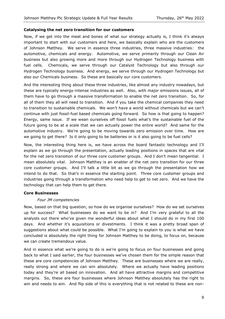#### **Catalysing the net zero transition for our customers**

Now, if we get into the meat and bones of what our strategy actually is, I think it's always important to start with our customers and here, we basically explain who are the customers of Johnson Matthey. We serve in essence three industries, three massive industries: the automotive, chemicals and energy. Automotive, we serve primarily through our Clean Air business but also growing more and more through our Hydrogen Technology business with fuel cells. Chemicals, we serve through our Catalyst Technology but also through our Hydrogen Technology business. And energy, we serve through our Hydrogen Technology but also our Chemicals business. So these are basically our core customers.

And the interesting thing about these three industries, like almost any industry nowadays, but these are typically energy-intense industries as well. Also, with major emissions issues, all of them have to go through a massive transformation to enable the net zero transition. So, for all of them they all will need to transition. And if you take the chemical companies they need to transition to sustainable chemicals. We won't have a world without chemicals but we can't continue with just fossil-fuel based chemicals going forward. So how is that going to happen? Energy, same issue. If we wean ourselves off fossil fuels what's the sustainable fuel of the future going to be at a scale that we can actually power the entire world? And same for the automotive industry. We're going to be moving towards zero emission over time. How are we going to get there? Is it only going to be batteries or is it also going to be fuel cells?

Now, the interesting thing here is, we have across the board fantastic technology and I'll explain as we go through the presentation, actually leading positions in spaces that are vital for the net zero transition of our three core customer groups. And I don't mean tangential. I mean absolutely vital. Johnson Matthey is an enabler of the net zero transition for our three core customer groups. And I'll talk a little bit as we go through the presentation how we intend to do that. So that's in essence the starting point. Three core customer groups and industries going through a transformation who need help to get to net zero. And we have the technology that can help them to get there.

#### **Core Businesses**

# *Four JM competencies*

Now, based on that big question, so how do we organise ourselves? How do we set ourselves up for success? What businesses do we want to be in? And I'm very grateful to all the analysts out there who've given me wonderful ideas about what I should do in my first 100 days. And whether it's acquisitions or divestments. I think it was a pretty broad span of suggestions about what could be possible. What I'm going to explain to you is what we have concluded is absolutely the right thing for Johnson Matthey to be doing, to focus on, because we can create tremendous value.

And in essence what we're going to do is we're going to focus on four businesses and going back to what I said earlier, the four businesses we've chosen them for the simple reason that these are core competencies of Johnson Matthey. These are businesses where we are really, really strong and where we can win absolutely. Where we actually have leading positions today and they're all based on innovation. And all have attractive margins and competitive margins. So, these are four businesses where Johnson Matthey absolutely has the right to win and needs to win. And flip side of this is everything that is not related to these are non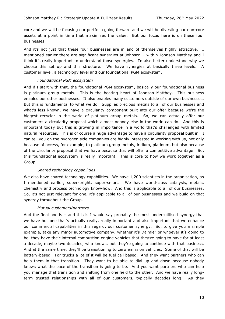core and we will be focusing our portfolio going forward and we will be divesting our non-core assets at a point in time that maximises the value. But our focus here is on these four businesses.

And it's not just that these four businesses are in and of themselves highly attractive. I mentioned earlier there are significant synergies at Johnson – within Johnson Matthey and I think it's really important to understand those synergies. To also better understand why we choose this set up and this structure. We have synergies at basically three levels. A customer level, a technology level and our foundational PGM ecosystem.

# *Foundational PGM ecosystem*

And if I start with that, the foundational PGM ecosystem, basically our foundational business is platinum group metals. This is the beating heart of Johnson Matthey. This business enables our other businesses. It also enables many customers outside of our own businesses. But this is fundamental to what we do. Supplies precious metals to all of our businesses and what's less known, we have a circularity component built into our offer because we're the biggest recycler in the world of platinum group metals. So, we can actually offer our customers a circularity proposal which almost nobody else in the world can do. And this is important today but this is growing in importance in a world that's challenged with limited natural resources. This is of course a huge advantage to have a circularity proposal built in. I can tell you on the hydrogen side companies are highly interested in working with us, not only because of access, for example, to platinum group metals, iridium, platinum, but also because of the circularity proposal that we have because that will offer a competitive advantage. So, this foundational ecosystem is really important. This is core to how we work together as a Group.

# *Shared technology capabilities*

We also have shared technology capabilities. We have 1,200 scientists in the organisation, as I mentioned earlier, super-bright, super-smart. We have world-class catalysis, metals, chemistry and process technology know-how. And this is applicable to all of our businesses. So, it's not just relevant for one, it's applicable to all of our businesses and we build on that synergy throughout the Group.

# *Mutual customers/partners*

And the final one is  $-$  and this is I would say probably the most under-utilised synergy that we have but one that's actually really, really important and also important that we enhance our commercial capabilities in this regard, our customer synergy. So, to give you a simple example, take any major automotive company, whether it's Daimler or whoever it's going to be, they have their internal combustion engine vehicles that they're going to have for at least a decade, maybe two decades, who knows, but they're going to continue with that business. And at the same time, they'll be transitioning to zero emission vehicles. Some of that will be battery-based. For trucks a lot of it will be fuel cell based. And they want partners who can help them in that transition. They want to be able to dial up and down because nobody knows what the pace of the transition is going to be. And you want partners who can help you manage that transition and shifting from one field to the other. And we have really longterm trusted relationships with all of our customers, typically decades long. As they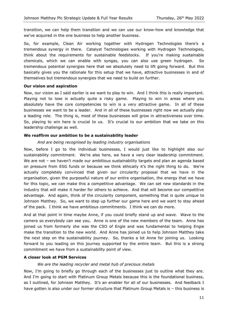transition, we can help them transition and we can use our know-how and knowledge that we've acquired in the one business to help another business.

So, for example, Clean Air working together with Hydrogen Technologies there's a tremendous synergy in there. Catalyst Technologies working with Hydrogen Technologies, think about the requirements for sustainable feedstocks. If you're making sustainable chemicals, which we can enable with syngas, you can also use green hydrogen. So tremendous potential synergies here that we absolutely need to lift going forward. But this basically gives you the rationale for this setup that we have, attractive businesses in and of themselves but tremendous synergies that we need to build on further.

## **Our vision and aspiration**

Now, our vision as I said earlier is we want to play to win. And I think this is really important. Playing not to lose is actually quite a risky game. Playing to win in areas where you absolutely have the core competencies to win is a very attractive game. In all of these businesses we want to be a leader. And in all of these businesses right now we actually play a leading role. The thing is, most of these businesses will grow in attractiveness over time. So, playing to win here is crucial to us. It's crucial to our ambition that we take on this leadership challenge as well.

# **We reaffirm our ambition to be a sustainability leader**

## *And are being recognised by leading industry organisations*

Now, before I go to the individual businesses, I would just like to highlight also our sustainability commitment. We're also here, we have a very clear leadership commitment. We are not – we haven't made our ambitious sustainability targets and plan an agenda based on pressure from ESG funds or because we think ethically it's the right thing to do. We're actually completely convinced that given our circularity proposal that we have in the organisation, given the purposeful nature of our entire organisation, the energy that we have for this topic, we can make this a competitive advantage. We can set new standards in the industry that will make it harder for others to achieve. And that will become our competitive advantage. And again, think of the circularity component, something that is quite unique to Johnson Matthey. So, we want to step up further our game here and we want to stay ahead of the pack. I think we have ambitious commitments. I think we can do more.

And at that point in time maybe Anne, if you could briefly stand up and wave. Wave to the camera so everybody can see you. Anne is one of the new members of the team. Anne has joined us from formerly she was the CSO of Engie and was fundamental to helping Engie make the transition to the new world. And Anne has joined us to help Johnson Matthey take the next step on the sustainability journey. So, thanks a lot Anne for joining us. Looking forward to you leading on this journey supported by the entire team. But this is a strong commitment we have from a sustainability point of view.

# **A closer look at PGM Services**

# *We are the leading recycler and metal hub of precious metals*

Now, I'm going to briefly go through each of the businesses just to outline what they are. And I'm going to start with Platinum Group Metals because this is the foundational business, as I outlined, for Johnson Matthey. It's an enabler for all of our businesses. And feedback I have gotten is also under our former structure that Platinum Group Metals is - this business is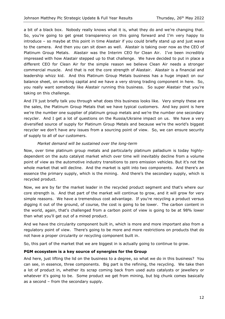a bit of a black box. Nobody really knows what it is, what they do and we're changing that. So, you're going to get great transparency on this going forward and I'm very happy to introduce – so maybe at this point in time Alastair if you could briefly stand up and just wave to the camera. And then you can sit down as well. Alastair is taking over now as the CEO of Platinum Group Metals. Alastair was the Interim CEO for Clean Air. I've been incredibly impressed with how Alastair stepped up to that challenge. We have decided to put in place a different CEO for Clean Air for the simple reason we believe Clean Air needs a stronger commercial muscle. And that is not the core strength of Alastair. Alastair is a financial and leadership whizz kid. And this Platinum Group Metals business has a huge impact on our balance sheet, on working capital and we have a very strong trading component in here. So, you really want somebody like Alastair running this business. So super Alastair that you're taking on this challenge.

And I'll just briefly talk you through what does this business looks like. Very simply these are the sales, the Platinum Group Metals that we have typical customers. And key point is here we're the number one supplier of platinum group metals and we're the number one secondary recycler. And I get a lot of questions on the Russia/Ukraine impact on us. We have a very diversified source of supply for Platinum Group Metals and because we're the world's biggest recycler we don't have any issues from a sourcing point of view. So, we can ensure security of supply to all of our customers.

## *Market demand will be sustained over the long-term*

Now, over time platinum group metals and particularly platinum palladium is today highlydependent on the auto catalyst market which over time will inevitably decline from a volume point of view as the automotive industry transitions to zero emission vehicles. But it's not the whole market that will decline. And the market is split into two components. And there's an essence the primary supply, which is the mining. And there's the secondary supply, which is recycled product.

Now, we are by far the market leader in the recycled product segment and that's where our core strength is. And that part of the market will continue to grow, and it will grow for very simple reasons. We have a tremendous cost advantage. If you're recycling a product versus digging it out of the ground, of course, the cost is going to be lower. The carbon content in the world, again, that's challenged from a carbon point of view is going to be at 98% lower than what you'll get out of a mined product.

And we have the circularity component built in, which is more and more important also from a regulatory point of view. There's going to be more and more restrictions on products that do not have a proper circularity or recycling component built in.

So, this part of the market that we are biggest in is actually going to continue to grow.

# **PGM ecosystem is a key source of synergies for the Group**

And here, just lifting the lid on the business to a degree, so what we do in this business? You can see, in essence, three components. Big part is the refining, the recycling. We take then a lot of product in, whether its scrap coming back from used auto catalysts or jewellery or whatever it's going to be. Some product we get from mining, but big chunk comes basically as a second – from the secondary supply.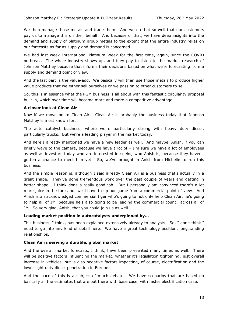We then manage those metals and trade them. And we do that so well that our customers pay us to manage this on their behalf. And because of that, we have deep insights into the demand and supply of platinum group metals to the extent that the entire industry relies on our forecasts as far as supply and demand is concerned.

We had last week International Platinum Week for the first time, again, since the COVID outbreak. The whole industry shows up, and they pay to listen to the market research of Johnson Matthey because that informs their decisions based on what we're forecasting from a supply and demand point of view.

And the last part is the value-add. We basically will then use those metals to produce higher value products that we either sell ourselves or we pass on to other customers to sell.

So, this is in essence what the PGM business is all about with this fantastic circularity proposal built in, which over time will become more and more a competitive advantage.

#### **A closer look at Clean Air**

Now if we move on to Clean Air. Clean Air is probably the business today that Johnson Matthey is most known for.

The auto catalyst business, where we're particularly strong with heavy duty diesel, particularly trucks. But we're a leading player in the market today.

And here I already mentioned we have a new leader as well. And maybe, Anish, if you can briefly wave to the camera, because we have a lot of – I'm sure we have a lot of employees as well as investors today who are interested in seeing who Anish is, because they haven't gotten a chance to meet him yet. So, we've brought in Anish from Michelin to run this business.

And the simple reason is, although I said already Clean Air is a business that's actually in a great shape. They've done tremendous work over the past couple of years and getting in better shape. I think done a really good job. But I personally am convinced there's a lot more juice in the tank, but we'll have to up our game from a commercial point of view. And Anish is an acknowledged commercial tiger who's going to not only help Clean Air, he's going to help all of JM, because he's also going to be leading the commercial council across all of JM. So very glad, Anish, that you could join us as well.

#### **Leading market position in autocatalysts underpinned by…**

This business, I think, has been explained extensively already to analysts. So, I don't think I need to go into any kind of detail here. We have a great technology position, longstanding relationships.

#### **Clean Air is serving a durable, global market**

And the overall market forecasts, I think, have been presented many times as well. There will be positive factors influencing the market, whether it's legislation tightening, just overall increase in vehicles, but is also negative factors impacting, of course, electrification and the lower light duty diesel penetration in Europe.

And the pace of this is a subject of much debate. We have scenarios that are based on basically all the estimates that are out there with base case, with faster electrification case.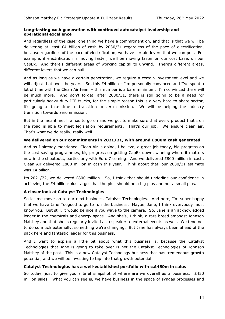# **Long-lasting cash generation with continued autocatalyst leadership and operational excellence**

And regardless of the case, one thing we have a commitment on, and that is that we will be delivering at least £4 billion of cash by 2030/31 regardless of the pace of electrification, because regardless of the pace of electrification, we have certain levers that we can pull. For example, if electrification is moving faster, we'll be moving faster on our cost base, on our CapEx. And there's different areas of working capital to unwind. There's different areas, different levers that we can pull.

And as long as we have a certain penetration, we require a certain investment level and we will adjust that over the years. So, this  $E4$  billion – I'm personally convinced and I've spent a lot of time with the Clean Air team – this number is a bare minimum. I'm convinced there will be much more. And don't forget, after 2030/31, there is still going to be a need for particularly heavy-duty ICE trucks, for the simple reason this is a very hard to abate sector, it's going to take time to transition to zero emission. We will be helping the industry transition towards zero emission.

But in the meantime, life has to go on and we got to make sure that every product that's on the road is able to meet legislation requirements. That's our job. We ensure clean air. That's what we do really, really well.

# **We delivered on our commitments in 2021/21, with around £800m cash generated**

And as I already mentioned, Clean Air is doing, I believe, a great job today, big progress on the cost saving programmes, big progress on getting CapEx down, winning where it matters now in the shootouts, particularly with Euro 7 coming. And we delivered £800 million in cash. Clean Air delivered £800 million in cash this year. Think about that, our 2030/31 estimate was £4 billion.

Its 2021/22, we delivered £800 million. So, I think that should underline our confidence in achieving the £4 billion-plus target that the plus should be a big plus and not a small plus.

# **A closer look at Catalyst Technologies**

So let me move on to our next business, Catalyst Technologies. And here, I'm super happy that we have Jane Toogood to go to run the business. Maybe, Jane, I think everybody must know you. But still, it would be nice if you wave to the camera. So, Jane is an acknowledged leader in the chemicals and energy space. And she's, I think, a rare breed amongst Johnson Matthey and that she is regularly invited as a speaker to external events as well. We tend not to do so much externally, something we're changing. But Jane has always been ahead of the pack here and fantastic leader for this business.

And I want to explain a little bit about what this business is, because the Catalyst Technologies that Jane is going to take over is not the Catalyst Technologies of Johnson Matthey of the past. This is a new Catalyst Technology business that has tremendous growth potential, and we will be investing to tap into that growth potential.

#### **Catalyst Technologies has a well-established portfolio with c.£450m in sales**

So today, just to give you a brief snapshot of where are we overall as a business.  $£450$ million sales. What you can see is, we have business in the space of syngas processes and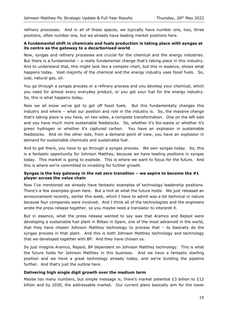refinery processes. And in all of those spaces, we typically have number one, two, three positions, often number one, but we already have leading market positions here.

# **A fundamental shift in chemicals and fuels production is taking place with syngas at its centre as the gateway to a decarbonised world**

Now, syngas and refinery processes are crucial for the chemical and the energy industries. But there is a fundamental – a really fundamental change that's taking place in this industry. And to understand that, this might look like a complex chart, but this in essence, shows what happens today. Vast majority of the chemical and the energy industry uses fossil fuels. So, coal, natural gas, oil.

You go through a syngas process or a refinery process and you develop your chemical, which you need for almost every everyday product, or you get your fuel for the energy industry. So, this is what happens today.

Now we all know we've got to get off fossil fuels. But this fundamentally changes this industry and where – what our position and role in the industry is. So, the massive change that's taking place is you have, on two sides, a complete transformation. One on the left side and you have much more sustainable feedstocks. So, whether it's bio-waste or whether it's green hydrogen or whether it's captured carbon. You have an explosion in sustainable feedstocks. And on the other side, from a demand point of view, you have an explosion in demand for sustainable chemicals and sustainable fuel.

And to get there, you have to go through a syngas process. We own syngas today. So, this is a fantastic opportunity for Johnson Matthey, because we have leading positions in syngas today. This market is going to explode. This is where we want to focus for the future. And this is where we're committed to investing for further growth.

## **Syngas is the key gateway in the net zero transition – we aspire to become the #1 player across the value chain**

Now I've mentioned we already have fantastic examples of technology leadership positions. There's a few examples given here. But a hint at what the future holds. We just released an announcement recently, earlier this week, which I have to admit was a bit technical in nature because four companies were involved. And I think all of the technologists and the engineers wrote the press release together, so you maybe need a translator to interpret it.

But in essence, what the press release wanted to say was that Aramco and Repsol were developing a sustainable fuel plant in Bilbao in Spain, one of the most advanced in the world, that they have chosen Johnson Matthey technology to process that – to basically do the syngas process in that plant. And this is both Johnson Matthey technology and technology that we developed together with BP. And they have chosen us.

So just imagine Aramco, Repsol, BP dependent on Johnson Matthey technology. This is what the future holds for Johnson Matthey in this business. And we have a fantastic starting position and we have a great technology already today, and we're building the pipeline further. And that's just the outline here.

# **Delivering high single digit growth over the medium term**

Maybe too many numbers, but simple message is, there's market potential  $\epsilon$ 3 billion to  $\epsilon$ 12 billion and by 2030, the addressable market. Our current plans basically aim for the lower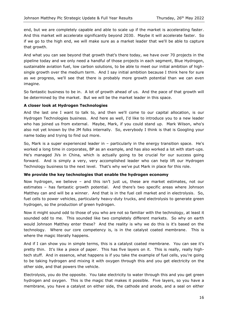end, but we are completely capable and able to scale up if the market is accelerating faster. And this market will accelerate significantly beyond 2030. Maybe it will accelerate faster. So if we go to the high end, we will make sure as a market leader that we'll be able to capture that growth.

And what you can see beyond that growth that's there today, we have over 70 projects in the pipeline today and we only need a handful of those projects in each segment, Blue Hydrogen, sustainable aviation fuel, low carbon solutions, to be able to meet our initial ambition of highsingle growth over the medium term. And I say initial ambition because I think here for sure as we progress, we'll see that there is probably more growth potential than we can even imagine.

So fantastic business to be in. A lot of growth ahead of us. And the pace of that growth will be determined by the market. But we will be the market leader in this space.

## **A closer look at Hydrogen Technologies**

And the last one I want to talk to, and then we'll come to our capital allocation, is our Hydrogen Technologies business. And here as well, I'd like to introduce you to a new leader who has joined us from external. Maybe, Mark, if you could stand up. Mark Wilson, who's also not yet known by the JM folks internally. So, everybody I think is that is Googling your name today and trying to find out more.

So, Mark is a super experienced leader in – particularly in the energy transition space. He's worked a long time in corporates, BP as an example, and has also worked a lot with start-ups. He's managed JVs in China, which is actually going to be crucial for our success going forward. And is simply a very, very accomplished leader who can help lift our Hydrogen Technology business to the next level. That's why we've put Mark in place for this role.

#### **We provide the key technologies that enable the hydrogen economy**

Now hydrogen, we believe – and this isn't just us, these are market estimates, not our estimates – has fantastic growth potential. And there's two specific areas where Johnson Matthey can and will be a winner. And that is in the fuel cell market and in electrolysis. So, fuel cells to power vehicles, particularly heavy-duty trucks, and electrolysis to generate green hydrogen, so the production of green hydrogen.

Now it might sound odd to those of you who are not so familiar with the technology, at least it sounded odd to me. This sounded like two completely different markets. So why on earth would Johnson Matthey enter these? And the reality is why we do this is it's based on the technology. Where our core competency is, is in the catalyst coated membrane. This is where the magic literally happens.

And if I can show you in simple terms, this is a catalyst coated membrane. You can see it's pretty thin. It's like a piece of paper. This has five layers on it. This is really, really hightech stuff. And in essence, what happens is if you take the example of fuel cells, you're going to be taking hydrogen and mixing it with oxygen through this and you get electricity on the other side, and that powers the vehicle.

Electrolysis, you do the opposite. You take electricity to water through this and you get green hydrogen and oxygen. This is the magic that makes it possible. Five layers, so you have a membrane, you have a catalyst on either side, the cathode and anode, and a seal on either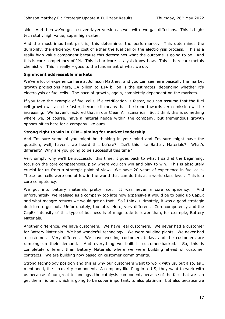side. And then we've got a seven-layer version as well with two gas diffusions. This is hightech stuff, high value, super high value.

And the most important part is, this determines the performance. This determines the durability, the efficiency, the cost of either the fuel cell or the electrolysis process. This is a really high value component because this determines what the outcome is going to be. And this is core competency of JM. This is hardcore catalysis know-how. This is hardcore metals chemistry. This is really – goes to the fundament of what we do.

#### **Significant addressable markets**

We've a lot of experience here at Johnson Matthey, and you can see here basically the market growth projections here, £4 billion to £14 billion is the estimates, depending whether it's electrolysis or fuel cells. The pace of growth, again, completely dependent on the markets.

If you take the example of fuel cells, if electrification is faster, you can assume that the fuel cell growth will also be faster, because it means that the trend towards zero emission will be increasing. We haven't factored that in our Clean Air scenarios. So, I think this is something where we, of course, have a natural hedge within the company, but tremendous growth opportunities here for a company like ours.

## **Strong right to win in CCM…aiming for market leadership**

And I'm sure some of you might be thinking in your mind and I'm sure might have the question, well, haven't we heard this before? Isn't this like Battery Materials? What's different? Why are you going to be successful this time?

Very simply why we'll be successful this time, it goes back to what I said at the beginning, focus on the core competencies, play where you can win and play to win. This is absolutely crucial for us from a strategic point of view. We have 20 years of experience in fuel cells. These fuel cells were one of few in the world that can do this at a world class level. This is a core competency.

We got into battery materials pretty late. It was never a core competency. And unfortunately, we realised as a company too late how expensive it would be to build up CapEx and what meagre returns we would get on that. So I think, ultimately, it was a good strategic decision to get out. Unfortunately, too late. Here, very different. Core competency and the CapEx intensity of this type of business is of magnitude to lower than, for example, Battery Materials.

Another difference, we have customers. We have real customers. We never had a customer for Battery Materials. We had wonderful technology. We were building plants. We never had a customer. Very different. We have existing customers today, and the customers are ramping up their demand. And everything we built is customer-backed. So, this is completely different than Battery Materials where we were building ahead of customer contracts. We are building now based on customer commitments.

Strong technology position and this is why our customers want to work with us, but also, as I mentioned, the circularity component. A company like Plug in to US, they want to work with us because of our great technology, the catalysis component, because of the fact that we can get them iridium, which is going to be super important, to also platinum, but also because we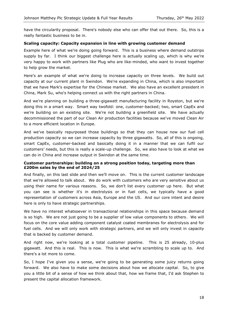have the circularity proposal. There's nobody else who can offer that out there. So, this is a really fantastic business to be in.

# **Scaling capacity: Capacity expansion in line with growing customer demand**

Example here of what we're doing going forward. This is a business where demand outstrips supply by far. I think our biggest challenge here is actually scaling up, which is why we're very happy to work with partners like Plug who are like-minded, who want to invest together to help grow the market.

Here's an example of what we're doing to increase capacity on three levels. We build out capacity at our current plant in Swindon. We're expanding in China, which is also important that we have Mark's expertise for the Chinese market. We also have an excellent president in China, Mark Su, who's helping connect us with the right partners in China.

And we're planning on building a three-gigawatt manufacturing facility in Royston, but we're doing this in a smart way. Smart way twofold: one, customer-backed; two, smart CapEx and we're building on an existing site. We're not building a greenfield site. We have actually decommissioned the part of our Clean Air production facilities because we've moved Clean Air to a more efficient location in Europe.

And we've basically repurposed those buildings so that they can house now our fuel cell production capacity so we can increase capacity by three gigawatts. So, all of this is ongoing, smart CapEx, customer-backed and basically doing it in a manner that we can fulfil our customers' needs, but this is really a scale-up challenge. So, we also have to look at what we can do in China and increase output in Swindon at the same time.

## **Customer partnerships: building on a strong position today, targeting more than £200m sales by the end of 2024/25**

And finally, on this last slide and then we'll move on. This is the current customer landscape that we're allowed to talk about. We do work with customers who are very sensitive about us using their name for various reasons. So, we don't list every customer up here. But what you can see is whether it's in electrolysis or in fuel cells, we typically have a good representation of customers across Asia, Europe and the US. And our core intent and desire here is only to have strategic partnerships.

We have no interest whatsoever in transactional relationships in this space because demand is so high. We are not just going to be a supplier of low value components to others. We will focus on the core value adding component catalyst coated membranes for electrolysis and for fuel cells. And we will only work with strategic partners, and we will only invest in capacity that is backed by customer demand.

And right now, we're looking at a total customer pipeline. This is 25 already, 10-plus gigawatt. And this is real. This is now. This is what we're scrambling to scale up to. And there's a lot more to come.

So, I hope I've given you a sense, we're going to be generating some juicy returns going forward. We also have to make some decisions about how we allocate capital. So, to give you a little bit of a sense of how we think about that, how we frame that, I'd ask Stephen to present the capital allocation framework.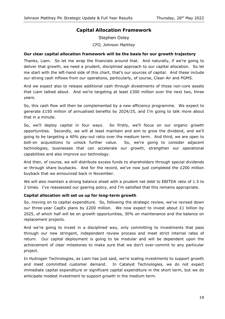# **Capital Allocation Framework**

Stephen Oxley *CFO, Johnson Matthey*

# **Our clear capital allocation framework will be the basis for our growth trajectory**

Thanks, Liam. So let me wrap the financials around that. And naturally, if we're going to deliver that growth, we need a prudent, disciplined approach to our capital allocation. So let me start with the left-hand side of this chart, that's our sources of capital. And these include our strong cash inflows from our operations, particularly, of course, Clean Air and PGMS.

And we expect also to release additional cash through divestments of those non-core assets that Liam talked about. And we're targeting at least  $£300$  million over the next two, three years.

So, this cash flow will then be complemented by a new efficiency programme. We expect to generate £150 million of annualised benefits by 2024/25, and I'm going to talk more about that in a minute.

So, we'll deploy capital in four ways. So firstly, we'll focus on our organic growth opportunities. Secondly, we will at least maintain and aim to grow the dividend, and we'll going to be targeting a 40% pay-out ratio over the medium term. And third, we are open to bolt-on acquisitions to unlock further value. So, we're going to consider adjacent technologies, businesses that can accelerate our growth, strengthen our operational capabilities and also improve our technology.

And then, of course, we will distribute excess funds to shareholders through special dividends or through share buybacks. And for the record, we've now just completed the  $E200$  million buyback that we announced back in November.

We will also maintain a strong balance sheet with a prudent net debt to EBITDA ratio of 1.5 to 2 times. I've reassessed our gearing policy, and I'm satisfied that this remains appropriate.

# **Capital allocation will set us up for long-term growth**

So, moving on to capital expenditure. So, following the strategic review, we've revised down our three-year CapEx plans by £200 million. We now expect to invest about  $£1$  billion by 2025, of which half will be on growth opportunities, 30% on maintenance and the balance on replacement projects.

And we're going to invest in a disciplined way, only committing to investments that pass through our new stringent, independent review process and meet strict internal rates of return. Our capital deployment is going to be modular and will be dependent upon the achievement of clear milestones to make sure that we don't over-commit to any particular project.

In Hydrogen Technologies, as Liam has just said, we're scaling investments to support growth and meet committed customer demand. In Catalyst Technologies, we do not expect immediate capital expenditure or significant capital expenditure in the short term, but we do anticipate modest investment to support growth in the medium term.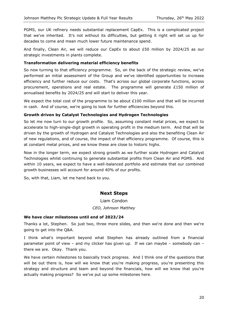PGMS, our UK refinery needs substantial replacement CapEx. This is a complicated project that we've inherited. It's not without its difficulties, but getting it right will set us up for decades to come and mean much lower future maintenance spend.

And finally, Clean Air, we will reduce our CapEx to about £50 million by 2024/25 as our strategic investments in plants complete.

## **Transformation delivering material efficiency benefits**

So now turning to that efficiency programme. So, on the back of the strategic review, we've performed an initial assessment of the Group and we've identified opportunities to increase efficiency and further reduce our costs. That's across our global corporate functions, across procurement, operations and real estate. The programme will generate £150 million of annualised benefits by 2024/25 and will start to deliver this year.

We expect the total cost of the programme to be about  $£100$  million and that will be incurred in cash. And of course, we're going to look for further efficiencies beyond this.

## **Growth driven by Catalyst Technologies and Hydrogen Technologies**

So let me now turn to our growth profile. So, assuming constant metal prices, we expect to accelerate to high-single-digit growth in operating profit in the medium term. And that will be driven by the growth of Hydrogen and Catalyst Technologies and also the benefiting Clean Air of new regulations, and of course, the impact of that efficiency programme. Of course, this is at constant metal prices, and we know these are close to historic highs.

Now in the longer term, we expect strong growth as we further scale Hydrogen and Catalyst Technologies whilst continuing to generate substantial profits from Clean Air and PGMS. And within 10 years, we expect to have a well-balanced portfolio and estimate that our combined growth businesses will account for around 40% of our profits.

So, with that, Liam, let me hand back to you.

# **Next Steps**

Liam Condon *CEO, Johnson Matthey*

#### **We have clear milestones until end of 2023/24**

Thanks a lot, Stephen. So just two, three more slides, and then we're done and then we're going to get into the Q&A.

I think what's important beyond what Stephen has already outlined from a financial parameter point of view – and my clicker has given up. If we can maybe – somebody can – there we are. Okay. Thank you.

We have certain milestones to basically track progress. And I think one of the questions that will be out there is, how will we know that you're making progress, you're presenting this strategy and structure and team and beyond the financials, how will we know that you're actually making progress? So we've put up some milestones here.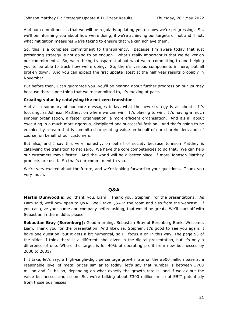And our commitment is that we will be regularly updating you on how we're progressing. So, we'll be informing you about how we're doing, if we're achieving our targets or not and if not, what mitigation measures we're taking to ensure that we can achieve them.

So, this is a complete commitment to transparency. Because I'm aware today that just presenting strategy is not going to be enough. What's really important is that we deliver on our commitments. So, we're being transparent about what we're committing to and helping you to be able to track how we're doing. So, there's various components in here, but all broken down. And you can expect the first update latest at the half year results probably in November.

But before then, I can guarantee you, you'll be hearing about further progress on our journey because there's one thing that we're committed to, it's moving at pace.

## **Creating value by catalysing the net zero transition**

And as a summary of our core messages today, what the new strategy is all about. It's focusing, as Johnson Matthey, on where we can win. It's playing to win. It's having a much simpler organisation, a faster organisation, a more efficient organisation. And it's all about executing in a much more rigorous, disciplined and successful fashion. And that's going to be enabled by a team that is committed to creating value on behalf of our shareholders and, of course, on behalf of our customers.

But also, and I say this very honestly, on behalf of society because Johnson Matthey is catalysing the transition to net zero. We have the core competencies to do that. We can help our customers move faster. And the world will be a better place, if more Johnson Matthey products are used. So that's our commitment to you.

We're very excited about the future, and we're looking forward to your questions. Thank you very much.

# **Q&A**

**Martin Dunwoodie:** So, thank you, Liam. Thank you, Stephen, for the presentations. As Liam said, we'll now open to Q&A. We'll take Q&A in the room and also from the webcast. If you can give your name and company before asking, that would be great. We'll start off with Sebastian in the middle, please.

**Sebastian Bray (Berenberg):** Good morning. Sebastian Bray of Berenberg Bank. Welcome, Liam. Thank you for the presentation. And likewise, Stephen. It's good to see you again. I have one question, but it gets a bit numerical, so I'll focus it on in this way. The page 53 of the slides, I think there is a different label given in the digital presentation, but it's only a difference of one. Where the target is for 40% of operating profit from new businesses by 2030 to 2031?

If I take, let's say, a high-single-digit percentage growth rate on the £500 million base at a reasonable level of metal prices similar to today, let's say that number is between  $£700$ million and  $£1$  billion, depending on what exactly the growth rate is, and if we ex out the value businesses and so on. So, we're talking about £300 million or so of EBIT potentially from those businesses.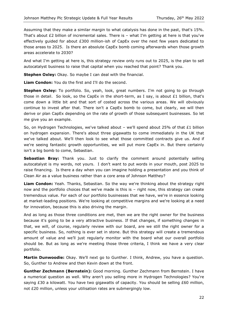Assuming that they make a similar margin to what catalysis has done in the past, that's 15%. That's about £2 billion of incremental sales. There is – what I'm getting at here is that you've effectively guided for about £300 million-ish of CapEx over the next few years dedicated to those areas to 2025. Is there an absolute CapEx bomb coming afterwards when those growth areas accelerate to 2030?

And what I'm getting at here is, this strategy review only runs out to 2025, is the plan to sell autocatalyst business to raise that capital when you reached that point? Thank you.

**Stephen Oxley:** Okay. So maybe I can deal with the financial.

**Liam Condon:** You do the first and I'll do the second.

**Stephen Oxley:** To portfolio. So, yeah, look, great numbers. I'm not going to go through those in detail. So look, so the CapEx in the short-term, as I say, is about £1 billion, that's come down a little bit and that sort of costed across the various areas. We will obviously continue to invest after that. There isn't a CapEx bomb to come, but clearly, we will then derive or plan CapEx depending on the rate of growth of those subsequent businesses. So let me give you an example.

So, on Hydrogen Technologies, we've talked about – we'll spend about 25% of that £1 billion on hydrogen expansion. There's about three gigawatts to come immediately in the UK that we've talked about. We'll then look to see what those committed contracts give us. And if we're seeing fantastic growth opportunities, we will put more CapEx in. But there certainly isn't a big bomb to come, Sebastian.

**Sebastian Bray:** Thank you. Just to clarify the comment around potentially selling autocatalyst is my words, not yours. I don't want to put words in your mouth, post 2025 to raise financing. Is there a day when you can imagine holding a presentation and you think of Clean Air as a value business rather than a core area of Johnson Matthey?

**Liam Condon:** Yeah. Thanks, Sebastian. So the way we're thinking about the strategy right now and the portfolio choices that we've made is this is – right now, this strategy can create tremendous value. For each of our portfolio businesses that we have, we're in essence looking at market-leading positions. We're looking at competitive margins and we're looking at a need for innovation, because this is also driving the margin.

And as long as those three conditions are met, then we are the right owner for the business because it's going to be a very attractive business. If that changes, if something changes in that, we will, of course, regularly review with our board, are we still the right owner for a specific business. So, nothing is ever set in stone. But this strategy will create a tremendous amount of value and we'll just regularly monitor with the board what our overall portfolio should be. But as long as we're meeting those three criteria, I think we have a very clear portfolio.

**Martin Dunwoodie:** Okay. We'll next go to Gunther. I think, Andrew, you have a question. So, Gunther to Andrew and then Kevin down at the front.

**Gunther Zechmann (Bernstein):** Good morning. Gunther Zechmann from Bernstein. I have a numerical question as well. Why aren't you selling more in Hydrogen Technologies? You're saying  $£30$  a kilowatt. You have two gigawatts of capacity. You should be selling  $£60$  million, not £20 million, unless your utilisation rates are submergingly low.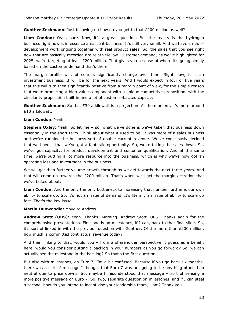**Gunther Zechmann:** Just following up how do you get to that £200 million as well?

**Liam Condon:** Yeah, sure. Now, it's a great question. But the reality is the hydrogen business right now is in essence a nascent business. It's still very small. And we have a mix of development work ongoing together with real product sales. So, the sales that you see right now that are basically recorded are relatively low. Customer demand, as we've highlighted for 2025, we're targeting at least £200 million. That gives you a sense of where it's going simply based on the customer demand that's there.

The margin profile will, of course, significantly change over time. Right now, it is an investment business. It will be for the next years. And I would expect in four or five years that this will turn then significantly positive from a margin point of view, for the simple reason that we're producing a high value component with a unique competitive proposition, with the circularity proposition built in and a lot of customer-backed capacity.

**Gunther Zechmann:** So that £30 a kilowatt is a projection. At the moment, it's more around £10 a kilowatt.

#### **Liam Condon:** Yeah.

**Stephen Oxley:** Yeah. So let me – so, what we've done is we've taken that business down essentially in the short term. Think about what it used to be. It was more of a sales business and we're running the business sort of double current revenue. We've consciously decided that we have – that we've got a fantastic opportunity. So, we're taking the sales down. So, we've got capacity, for product development and customer qualification. And at the same time, we're putting a lot more resource into the business, which is why we've now got an operating loss and investment in the business.

We will get then further volume growth through as we get towards the next three years. And that will come up towards the £200 million. That's when we'll get the margin accretion that we've talked about.

**Liam Condon:** And the only the only bottleneck to increasing that number further is our own ability to scale up. So, it's not an issue of demand. It's literally an issue of ability to scale up fast. That's the key issue.

#### **Martin Dunwoodie:** Move to Andrew.

**Andrew Stott (UBS):** Yeah. Thanks. Morning. Andrew Stott, UBS. Thanks again for the comprehensive presentations. First one is on milestones, if I can, back to that final slide. So, it's sort of linked in with the previous question with Gunther. Of the more than  $£200$  million, how much is committed contractual revenue today?

And then linking to that, would you – from a shareholder perspective, I guess as a benefit here, would you consider putting a backlog in your numbers as you go forward? So, we can actually see the milestone in the backlog? So that's the first question.

But also with milestones, on Euro 7, I'm a bit confused. Because if you go back six months, there was a sort of message I thought that Euro 7 was not going to be anything other than neutral due to price downs. So, maybe I misunderstood that message – sort of sensing a more positive message on Euro 7. So, two, separate question on milestones, and if I can steal a second, how do you intend to incentivise your leadership team, Liam? Thank you.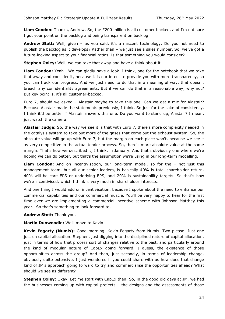**Liam Condon:** Thanks, Andrew. So, the £200 million is all customer backed, and I'm not sure I got your point on the backlog and being transparent on backlog.

**Andrew Stott:** Well, given – as you said, it's a nascent technology. Do you not need to publish the backlog as it develops? Rather than – we just see a sales number. So, we've got a future-looking aspect to your financial ratios. Is that something you would consider?

**Stephen Oxley:** Well, we can take that away and have a think about it.

**Liam Condon:** Yeah. We can gladly have a look. I think, one for the notebook that we take that away and consider it, because it is our intent to provide you with more transparency, so you can track our progress. And we just need to do that in a meaningful way, that doesn't breach any confidentiality agreements. But if we can do that in a reasonable way, why not? But key point is, it's all customer-backed.

Euro 7, should we asked – Alastair maybe to take this one. Can we get a mic for Alastair? Because Alastair made the statements previously, I think. So just for the sake of consistency, I think it'd be better if Alastair answers this one. Do you want to stand up, Alastair? I mean, just watch the camera.

**Alastair Judge:** So, the way we see it is that with Euro 7, there's more complexity needed in the catalysis system to take out more of the gases that come out the exhaust system. So, the absolute value will go up with Euro 7, but the margin on each piece won't, because we see it as very competitive in the actual tender process. So, there's more absolute value at the same margin. That's how we described it, I think, in January. And that's obviously one where we're hoping we can do better, but that's the assumption we're using in our long-term modelling.

**Liam Condon:** And on incentivisation, our long-term model, so for the – not just this management team, but all our senior leaders, is basically 40% is total shareholder return, 40% will be core EPS or underlying EPS, and 20% is sustainability targets. So that's how we're incentivised, which I think is very much in shareholder interests.

And one thing I would add on incentivisation, because I spoke about the need to enhance our commercial capabilities and our commercial muscle. You'll be very happy to hear for the first time ever we are implementing a commercial incentive scheme with Johnson Matthey this year. So that's something to look forward to.

**Andrew Stott:** Thank you.

**Martin Dunwoodie:** We'll move to Kevin.

**Kevin Fogarty (Numis):** Good morning. Kevin Fogarty from Numis. Two please. Just one just on capital allocation. Stephen, just digging into the disciplined nature of capital allocation, just in terms of how that process sort of changes relative to the past, and particularly around the kind of modular nature of CapEx going forward, I guess, the existence of those opportunities across the group? And then, just secondly, in terms of leadership change, obviously quite extensive. I just wondered if you could share with us how does that change kind of JM's approach going forward to try and commercialise the opportunities ahead? What should we see as different?

**Stephen Oxley:** Okay. Let me start with CapEx then. So, in the good old days at JM, we had the businesses coming up with capital projects – the designs and the assessments of those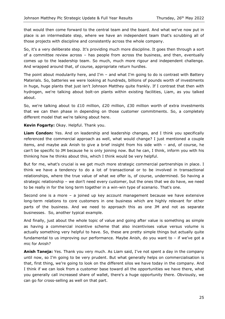that would then come forward to the central team and the board. And what we've now put in place is an intermediate step, where we have an independent team that's scrubbing all of those projects with discipline and consistently across the whole company.

So, it's a very deliberate step. It's providing much more discipline. It goes then through a sort of a committee review across – has people from across the business, and then, eventually comes up to the leadership team. So much, much more rigour and independent challenge. And wrapped around that, of course, appropriate return hurdles.

The point about modularity here, and I'm  $-$  and what I'm going to do is contrast with Battery Materials. So, batteries we were looking at hundreds, billions of pounds worth of investments in huge, huge plants that just isn't Johnson Matthey quite frankly. If I contrast that then with hydrogen, we're talking about bolt-on plants within existing facilities, Liam, as you talked about.

So, we're talking about to £10 million, £20 million, £30 million worth of extra investments that we can then phase in depending on those customer commitments. So, a completely different model that we're talking about here.

**Kevin Fogarty:** Okay. Helpful. Thank you.

**Liam Condon:** Yes. And on leadership and leadership changes, and I think you specifically referenced the commercial approach as well, what would change? I just mentioned a couple items, and maybe ask Anish to give a brief insight from his side with – and, of course, he can't be specific to JM because he is only joining now. But he can, I think, inform you with his thinking how he thinks about this, which I think would be very helpful.

But for me, what's crucial is we get much more strategic commercial partnerships in place. I think we have a tendency to do a lot of transactional or to be involved in transactional relationships, where the true value of what we offer is, of course, undermined. So having a strategic relationship – we don't need every customer, but the ones that we do have, we need to be really in for the long term together in a win-win type of scenario. That's one.

Second one is a more – a joined up key account management because we have extensive long-term relations to core customers in one business which are highly relevant for other parts of the business. And we need to approach this as one JM and not as separate businesses. So, another typical example.

And finally, just about the whole topic of value and going after value is something as simple as having a commercial incentive scheme that also incentivises value versus volume is actually something very helpful to have. So, these are pretty simple things but actually quite fundamental to us improving our performance. Maybe Anish, do you want to – if we've got a mic for Anish?

**Anish Taneja:** Yes. Thank you very much. As Liam said, I've not spent a day in the company until now, so I'm going to be very prudent. But what generally helps on commercialisation is that, first thing, we're going to look on the different silos we have today in the company. And I think if we can look from a customer base toward all the opportunities we have there, what you generally call increased share of wallet, there's a huge opportunity there. Obviously, we can go for cross-selling as well on that part.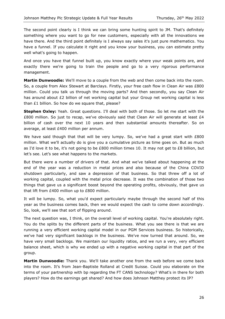The second point clearly is I think we can bring some hunting spirit to JM. That's definitely something where you want to go for new customers, especially with all the innovations we have there. And the third point definitely is I always say sales it's just pure mathematics. You have a funnel. If you calculate it right and you know your business, you can estimate pretty well what's going to happen.

And once you have that funnel built up, you know exactly where your weak points are, and exactly there we're going to train the people and go to a very rigorous performance management.

**Martin Dunwoodie:** We'll move to a couple from the web and then come back into the room. So, a couple from Alex Stewart at Barclays. Firstly, your free cash flow in Clean Air was £800 million. Could you talk us through the moving parts? And then secondly, you say Clean Air has around about £2 billion of net working capital but your Group net working capital is less than £1 billion. So how do we square that, please?

**Stephen Oxley:** Yeah. Great questions. I'll deal with both of those. So let me start with the £800 million. So just to recap, we've obviously said that Clean Air will generate at least  $£4$ billion of cash over the next 10 years and then substantial amounts thereafter. So on average, at least £400 million per annum.

We have said though that that will be very lumpy. So, we've had a great start with £800 million. What we'll actually do is give you a cumulative picture as time goes on. But as much as I'd love it to be, it's not going to be £800 million times 10. It may not get to £8 billion, but let's see. Let's see what happens to the markets.

But there were a number of drivers of that. And what we've talked about happening at the end of the year was a reduction in metal prices and also because of the China COVID shutdown particularly, and saw a depression of that business. So that threw off a lot of working capital, coupled with the metal price decrease. It was the combination of those two things that gave us a significant boost beyond the operating profits, obviously, that gave us that lift from £400 million up to £800 million.

It will be lumpy. So, what you'd expect particularly maybe through the second half of this year as the business comes back, then we would expect the cash to come down accordingly. So, look, we'll see that sort of flipping around.

The next question was, I think, on the overall level of working capital. You're absolutely right. You do the splits by the different parts of the business. What you see there is that we are running a very efficient working capital model in our PGM Services business. So historically, we've had very significant backlogs in the business. We've now turned that around. So, we have very small backlogs. We maintain our liquidity ratios, and we run a very, very efficient balance sheet, which is why we ended up with a negative working capital in that part of the group.

**Martin Dunwoodie:** Thank you. We'll take another one from the web before we come back into the room. It's from Jean-Baptiste Rolland at Credit Suisse. Could you elaborate on the terms of your partnership with bp regarding the FT CANS technology? What's in there for both players? How do the earnings get shared? And how does Johnson Matthey protect its IP?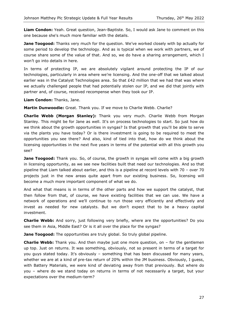**Liam Condon:** Yeah. Great question, Jean-Baptiste. So, I would ask Jane to comment on this one because she's much more familiar with the details.

**Jane Toogood:** Thanks very much for the question. We've worked closely with bp actually for some period to develop the technology. And as is typical when we work with partners, we of course share some of the value of that. And so, we do have a sharing arrangement, which I won't go into details in here.

In terms of protecting IP, we are absolutely vigilant around protecting the IP of our technologies, particularly in area where we're licensing. And the one-off that we talked about earlier was in the Catalyst Technologies area. So that £42 million that we had that was where we actually challenged people that had potentially stolen our IP, and we did that jointly with partner and, of course, received recompense when they took our IP.

**Liam Condon:** Thanks, Jane.

**Martin Dunwoodie:** Great. Thank you. If we move to Charlie Webb. Charlie?

**Charlie Webb (Morgan Stanley):** Thank you very much. Charlie Webb from Morgan Stanley. This might be for Jane as well. It's on process technologies to start. So just how do we think about the growth opportunities in syngas? Is that growth that you'll be able to serve via the plants you have today? Or is there investment is going to be required to meet the opportunities you see there? And also, kind of tied into that, how do we think about the licensing opportunities in the next five years in terms of the potential with all this growth you see?

**Jane Toogood:** Thank you. So, of course, the growth in syngas will come with a big growth in licensing opportunity, as we see new facilities built that need our technologies. And so that pipeline that Liam talked about earlier, and this is a pipeline at record levels with 70 – over 70 projects just in the new areas quite apart from our existing business. So, licensing will become a much more important component of what we do.

And what that means is in terms of the other parts and how we support the catalyst, that then follow from that, of course, we have existing facilities that we can use. We have a network of operations and we'll continue to run those very efficiently and effectively and invest as needed for new catalysts. But we don't expect that to be a heavy capital investment.

**Charlie Webb:** And sorry, just following very briefly, where are the opportunities? Do you see them in Asia, Middle East? Or is it all over the place for the syngas?

**Jane Toogood:** The opportunities are truly global. So truly global pipeline.

**Charlie Webb:** Thank you. And then maybe just one more question, on – for the gentlemen up top. Just on returns. It was something, obviously, not so present in terms of a target for you guys stated today. It's obviously – something that has been discussed for many years, whether we are at a kind of pre-tax return of 20% within the JM business. Obviously, I guess, with Battery Materials, we were kind of deviating away from that previously. But where do you – where do we stand today on returns in terms of not necessarily a target, but your expectations over the medium-term?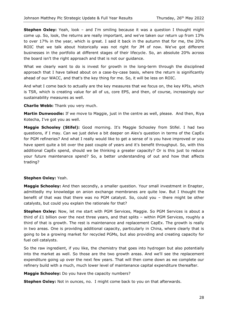**Stephen Oxley:** Yeah, look – and I'm smiling because it was a question I thought might come up. So, look, the returns are really important, and we've taken our return up from 13% to over 17% in the year, which is great. I said it back in the autumn that for me, the 20% ROIC that we talk about historically was not right for JM of now. We've got different businesses in the portfolio at different stages of their lifecycle. So, an absolute 20% across the board isn't the right approach and that is not our guidance.

What we clearly want to do is invest for growth in the long-term through the disciplined approach that I have talked about on a case-by-case basis, where the return is significantly ahead of our WACC, and that's the key thing for me. So, it will be less on ROIC.

And what I come back to actually are the key measures that we focus on, the key KPIs, which is TSR, which is creating value for all of us, core EPS, and then, of course, increasingly our sustainability measures as well.

#### **Charlie Webb:** Thank you very much.

**Martin Dunwoodie:** If we move to Maggie, just in the centre as well, please. And then, Riya Kotecha, I've got you as well.

**Maggie Schooley (Stifel):** Good morning. It's Maggie Schooley from Stifel. I had two questions, if I may. Can we just delve a bit deeper on Alex's question in terms of the CapEx for PGM refineries? And what I really would like to get a sense of is you have improved or you have spent quite a bit over the past couple of years and it's benefit throughput. So, with this additional CapEx spend, should we be thinking a greater capacity? Or is this just to reduce your future maintenance spend? So, a better understanding of out and how that affects trading?

# **Stephen Oxley:** Yeah.

**Maggie Schooley:** And then secondly, a smaller question. Your small investment in Enapter, admittedly my knowledge on anion exchange membranes are quite low. But I thought the benefit of that was that there was no PGM catalyst. So, could you – there might be other catalysts, but could you explain the rationale for that?

**Stephen Oxley:** Now, let me start with PGM Services, Maggie. So PGM Services is about a third of  $E1$  billion over the next three years, and that splits – within PGM Services, roughly a third of that is growth. The rest is maintenance and replacement CapEx. The growth is really in two areas. One is providing additional capacity, particularly in China, where clearly that is going to be a growing market for recycled PGMs, but also providing and creating capacity for fuel cell catalysts.

So the raw ingredient, if you like, the chemistry that goes into hydrogen but also potentially into the market as well. So those are the two growth areas. And we'll see the replacement expenditure going up over the next few years. That will then come down as we complete our refinery build with a much, much lower level of maintenance capital expenditure thereafter.

**Maggie Schooley:** Do you have the capacity numbers?

**Stephen Oxley:** Not in ounces, no. I might come back to you on that afterwards.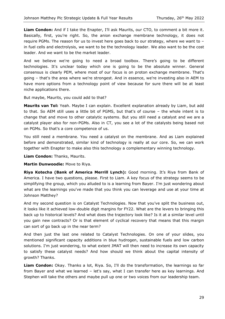**Liam Condon:** And if I take the Enapter, I'll ask Maurits, our CTO, to comment a bit more it. Basically, first, you're right. So, the anion exchange membrane technology, it does not require PGMs. The reason for us to invest here goes back to our strategy, where we want to – in fuel cells and electrolysis, we want to be the technology leader. We also want to be the cost leader. And we want to be the market leader.

And we believe we're going to need a broad toolbox. There's going to be different technologies. It's unclear today which one is going to be the absolute winner. General consensus is clearly PEM, where most of our focus is on proton exchange membrane. That's going – that's the area where we're strongest. And in essence, we're investing also in AEM to have more options from a technology point of view because for sure there will be at least niche applications there.

But maybe, Maurits, you could add to that?

**Maurits van Tol:** Yeah. Maybe I can explain. Excellent explanation already by Liam, but add to that. So AEM still uses a little bit of PGMS, but that's of course – the whole intent is to change that and move to other catalytic systems. But you still need a catalyst and we are a catalyst player also for non-PGMs. Also in CT, you see a lot of the catalysts being based not on PGMs. So that's a core competence of us.

You still need a membrane. You need a catalyst on the membrane. And as Liam explained before and demonstrated, similar kind of technology is really at our core. So, we can work together with Enapter to make also this technology a complementary winning technology.

**Liam Condon:** Thanks, Maurits.

**Martin Dunwoodie:** Move to Riya.

**Riya Kotecha (Bank of America Merrill Lynch):** Good morning. It's Riya from Bank of America. I have two questions, please. First to Liam. A key focus of the strategy seems to be simplifying the group, which you alluded to is a learning from Bayer. I'm just wondering about what are the learnings you've made that you think you can leverage and use at your time at Johnson Matthey?

And my second question is on Catalyst Technologies. Now that you've split the business out, it looks like it achieved low-double digit margins for FY22. What are the levers to bringing this back up to historical levels? And what does the trajectory look like? Is it at a similar level until you gain new contracts? Or is that element of cyclical recovery that means that this margin can sort of go back up in the near term?

And then just the last one related to Catalyst Technologies. On one of your slides, you mentioned significant capacity additions in blue hydrogen, sustainable fuels and low carbon solutions. I'm just wondering, to what extent JMAT will then need to increase its own capacity to satisfy these catalyst needs? And how should we think about the capital intensity of growth? Thanks.

**Liam Condon:** Okay. Thanks a lot, Riya. So, I'll do the transformation, the learnings so far from Bayer and what we learned – let's say, what I can transfer here as key learnings. And Stephen will take the others and maybe pull up one or two voices from our leadership team.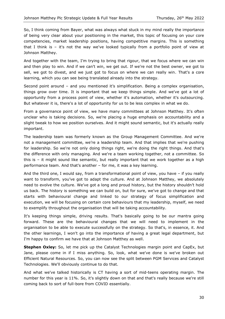So, I think coming from Bayer, what was always what stuck in my mind really the importance of being very clear about your positioning in the market, this topic of focusing on your core competencies, market leadership positions, having competitive margins. This is something that I think is – it's not the way we've looked typically from a portfolio point of view at Johnson Matthey.

And together with the team, I'm trying to bring that rigour, that we focus where we can win and then play to win. And if we can't win, we get out. If we're not the best owner, we got to sell, we got to divest, and we just got to focus on where we can really win. That's a core learning, which you can see being translated already into the strategy.

Second point around – and you mentioned it's simplification. Being a complex organisation, things grow over time. It is important that we keep things simple. And we've got a lot of opportunity from a process point of view, whether it's automation, whether it's outsourcing. But whatever it is, there's a lot of opportunity for us to be less complex in what we do.

From a governance point of view, we have many committees at Johnson Matthey. It's often unclear who is taking decisions. So, we're placing a huge emphasis on accountability and a slight tweak to how we position ourselves. And it might sound semantic, but it's actually really important.

The leadership team was formerly known as the Group Management Committee. And we're not a management committee, we're a leadership team. And that implies that we're pushing for leadership. So we're not only doing things right, we're doing the right things. And that's the difference with only managing. And we're a team working together, not a committee. So this is – it might sound like semantic, but really important that we work together as a high performance team. And that's another – for me, it was a key learning.

And the third one, I would say, from a transformational point of view, you have – if you really want to transform, you've got to adapt the culture. And at Johnson Matthey, we absolutely need to evolve the culture. We've got a long and proud history, but the history shouldn't hold us back. The history is something we can build on, but for sure, we've got to change and that starts with behavioural change and linked to our strategy of focus simplification and execution, we will be focusing on certain core behaviours that my leadership, myself, we need to exemplify throughout the organisation that will be taking accountability.

It's keeping things simple, driving results. That's basically going to be our mantra going forward. These are the behavioural changes that we will need to implement in the organisation to be able to execute successfully on the strategy. So that's, in essence, it. And the other learnings, I won't go into the importance of having a great legal department, but I'm happy to confirm we have that at Johnson Matthey as well.

**Stephen Oxley:** So, let me pick up the Catalyst Technologies margin point and CapEx, but Jane, please come in if I miss anything. So, look, what we've done is we've broken out Efficient Natural Resources. So, you can now see the split between PGM Services and Catalyst Technologies. We'll obviously continue to do that.

And what we've talked historically is CT having a sort of mid-teens operating margin. The number for this year is 11%. So, it's slightly down on that and that's really because we're still coming back to sort of full-bore from COVID essentially.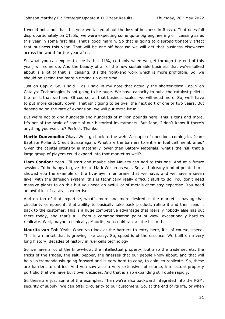I would point out that this year we talked about the loss of business in Russia. That does fall disproportionately on CT. So, we were expecting some quite big engineering or licensing sales this year in some first fills. That's good margin. So that is going to disproportionately affect that business this year. That will be one-off because we will get that business elsewhere across the world for the year after.

So what you can expect to see is that 11%, certainly when we get through the end of this year, will come up. And the beauty of all of the new sustainable business that we've talked about is a lot of that is licensing. It's the front-end work which is more profitable. So, we should be seeing the margin ticking up over time.

Just on CapEx. So, I said – as I said in my note that actually the shorter-term CapEx on Catalyst Technologies is not going to be huge. We have capacity to build the catalyst pellets, the refills that we have. Of course, as that business scales, we will need more. So, we'll have to put more capacity down. That isn't going to be over the next sort of one or two years. But depending on the rate of expansion, we will put extra kit in.

But we're not talking hundreds and hundreds of million pounds here. This is tens and more. It's not of the scale of some of our historical investments. But Jane, I don't know if there's anything you want to? Perfect. Thanks.

**Martin Dunwoodie:** Okay. We'll go back to the web. A couple of questions coming in. Jean-Baptiste Rolland, Credit Suisse again. What are the barriers to entry in fuel cell membranes? Given the capital intensity is materially lower than Battery Materials, what's the risk that a large group of players could expand into that market as well?

**Liam Condon:** Yeah. I'll start and maybe also Maurits can add to this one. And at a future session, I'd be happy to give this to Mark Wilson as well. So, as I already kind of pointed to showed you the example of the five-layer membrane that we have, and we have a seven layer with the diffusion system, this is technically really difficult stuff to do. You don't need massive plants to do this but you need an awful lot of metals chemistry expertise. You need an awful lot of catalysis expertise.

And on top of that expertise, what's more and more desired in the market is having that circularity component, that ability to basically take back product, refine it and then send it back to the customer. This is a huge competitive advantage that literally nobody else has out there today, and that's a – from a commoditisation point of view, exceptionally hard to replicate. Well, maybe technically, Maurits, you could talk a little bit to the –

Maurits van Tol: Yeah. When you look at the barriers to entry here, it's, of course, speed. This is a market that is growing like crazy. So, speed is of the essence. We built on a very long history, decades of history in fuel cells technology.

So we have a lot of the know-how, the intellectual property, but also the trade secrets, the tricks of the trades, the salt, pepper, the finesses that our people know about, and that will help us tremendously going forward and is very hard to copy, to gain, to replicate. So, these are barriers to entries. And you saw also a very extensive, of course, intellectual property portfolio that we have built over decades. And that is also expanding still quite rapidly.

So these are just some of the examples. Then we're also backward integrated into the PGM, security of supply. We can offer circularity to our customers. So, at the end of its life, or when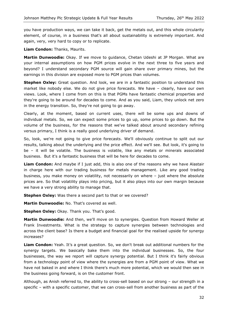you have production ways, we can take it back, get the metals out, and this whole circularity element, of course, in a business that's all about sustainability is extremely important. And again, very, very hard to copy or to replicate.

**Liam Condon:** Thanks, Maurits.

**Martin Dunwoodie:** Okay. If we move to guidance, Chetan Udeshi at JP Morgan. What are your internal assumptions on how PGM prices evolve in the next three to five years and beyond? I understand secondary PGM source will gain share over primary mines, but the earnings in this division are exposed more to PGM prices than volumes.

**Stephen Oxley:** Great question. And look, we are in a fantastic position to understand this market like nobody else. We do not give price forecasts. We have – clearly, have our own views. Look, where I come from on this is that PGMs have fantastic chemical properties and they're going to be around for decades to come. And as you said, Liam, they unlock net zero in the energy transition. So, they're not going to go away.

Clearly, at the moment, based on current uses, there will be some ups and downs of individual metals. So, we can expect some prices to go up, some prices to go down. But the volume of the business, for the reasons that we've talked about around secondary refining versus primary, I think is a really good underlying driver of demand.

So, look, we're not going to give price forecasts. We'll obviously continue to split out our results, talking about the underlying and the price effect. And we'll see. But look, it's going to be – it will be volatile. The business is volatile, like any metals or minerals associated business. But it's a fantastic business that will be here for decades to come.

**Liam Condon:** And maybe if I just add, this is also one of the reasons why we have Alastair in charge here with our trading business for metals management. Like any good trading business, you make money on volatility, not necessarily on where – just where the absolute prices are. So that volatility plays into pricing, but it also plays into our own margin because we have a very strong ability to manage that.

**Stephen Oxley:** Was there a second part to that or we covered?

**Martin Dunwoodie:** No. That's covered as well.

**Stephen Oxley:** Okay. Thank you. That's good.

**Martin Dunwoodie:** And then, we'll move on to synergies. Question from Howard Weller at Frank Investments. What is the strategy to capture synergies between technologies and across the client base? Is there a budget and financial goal for the realised upside for synergy increases?

**Liam Condon:** Yeah. It's a great question. So, we don't break out additional numbers for the synergy targets. We basically bake them into the individual businesses. So, the four businesses, the way we report will capture synergy potential. But I think it's fairly obvious from a technology point of view where the synergies are from a PGM point of view. What we have not baked in and where I think there's much more potential, which we would then see in the business going forward, is on the customer front.

Although, as Anish referred to, the ability to cross-sell based on our strong – our strength in a specific – with a specific customer, that we can cross-sell from another business as part of the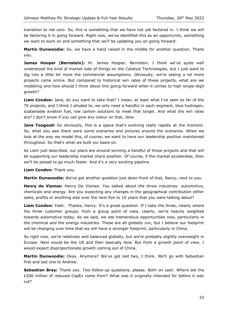transition to net zero. So, this is something that we have not yet factored in. I think we will be factoring it in going forward. Right now, we've identified this as an opportunity, something we want to work on and something that we'll be updating you on going forward.

**Martin Dunwoodie:** So, we have a hand raised in the middle for another question. Thank you.

**James Hooper (Bernstein):** Hi. James Hooper, Bernstein. I think we've quite well understood the kind of market side of things on the Catalyst Technologies, but I just want to dig into a little bit more the commercial assumptions. Obviously, we're seeing a lot more projects come online. But compared to historical win rates of these projects, what are we modelling and how should I think about this going forward when it comes to high single-digit growth?

**Liam Condon:** Jane, do you want to take that? I mean, at least what I've seen so far of the 70 projects, and I think I alluded to, we only need a handful in each segment, blue hydrogen, sustainable aviation fuel, low carbon solutions to meet that target. And what the win rates are? I don't know if you can give any colour on that, Jane.

**Jane Toogood:** So obviously, this is a space that's evolving really rapidly at the moment. So, what you saw there were some scenarios and pictures around the scenarios. When we look at the way we model this, of course, we want to have our leadership position maintained throughout. So that's what we built our basis on.

As Liam just described, our plans are around winning a handful of those projects and that will be supporting our leadership market share position. Of course, if the market accelerates, then we'll be poised to go much faster. And it's a very exciting pipeline.

**Liam Condon:** Thank you.

**Martin Dunwoodie:** We've got another question just down front of that, Nancy, next to you.

**Henry de Vismes:** Henry De Vismes. You talked about the three industries: automotive, chemicals and energy. Are you expecting any changes in the geographical contribution either sales, profits or anything else over the next five to 10 years that you were talking about?

**Liam Condon:** Yeah. Thanks, Henry. It's a great question. If I take the three, clearly where the three customer groups, from a group point of view, clearly, we're heavily weighted towards automotive today. As we said, we see tremendous opportunities now, particularly in the chemical and the energy industries. These are all globally run, but I believe our footprint will be changing over time that we will have a stronger footprint, particularly in China.

So right now, we're relatively well balanced globally, but we're probably slightly overweight in Europe. Next would be the US and then basically Asia. But from a growth point of view, I would expect disproportionate growth coming out of China.

**Martin Dunwoodie:** Okay. Anymore? We've got last two, I think. We'll go with Sebastian first and last one to Andrew.

**Sebastian Bray:** Thank you. Two follow-up questions, please. Both on cash. Where did the £200 million of reduced CapEx come from? What was it originally intended for before it was cut?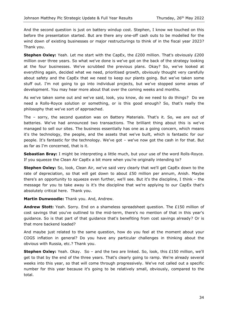And the second question is just on battery windup cost. Stephen, I know we touched on this before the presentation started. But are there any one-off cash outs to be modelled for the wind down of existing businesses or major restructurings to think of in the fiscal year 2023? Thank you.

**Stephen Oxley:** Yeah. Let me start with the CapEx, the £200 million. That's obviously £200 million over three years. So what we've done is we've got on the back of the strategy looking at the four businesses. We've scrubbed the previous plans. Okay? So, we've looked at everything again, decided what we need, prioritised growth, obviously thought very carefully about safety and the CapEx that we need to keep our plants going. But we've taken some stuff out. I'm not going to go into individual projects, but we've stopped some areas of development. You may hear more about that over the coming weeks and months.

As we've taken some out and we've said, look, you know, do we need to do things? Do we need a Rolls-Royce solution or something, or is this good enough? So, that's really the philosophy that we've sort of approached.

The – sorry, the second question was on Battery Materials. That's it. So, we are out of batteries. We've had announced two transactions. The brilliant thing about this is we've managed to sell our sites. The business essentially has one as a going concern, which means it's the technology, the people, and the assets that we've built, which is fantastic for our people. It's fantastic for the technology. We've got – we've now got the cash in for that. But as far as I'm concerned, that is it.

**Sebastian Bray:** I might be interpreting a little much, but your use of the word Rolls-Royce. If you squeeze the Clean Air CapEx a bit more when you're originally intending to?

**Stephen Oxley:** So, look, Clean Air, we've said very clearly that we'll get CapEx down to the rate of depreciation, so that will get down to about £50 million per annum, Anish. Maybe there's an opportunity to squeeze even further, we'll see. But it's the discipline, I think – the message for you to take away is it's the discipline that we're applying to our CapEx that's absolutely critical here. Thank you.

**Martin Dunwoodie:** Thank you. And, Andrew.

**Andrew Stott:** Yeah. Sorry. End on a shameless spreadsheet question. The £150 million of cost savings that you've outlined to the mid-term, there's no mention of that in this year's guidance. So is that part of that guidance that's benefiting from cost savings already? Or is that more backend loaded?

And maybe just related to the same question, how do you feel at the moment about your COGS inflation in general? Do you have any particular challenges in thinking about the obvious with Russia, etc.? Thank you.

**Stephen Oxley:** Yeah. Okay. So – and the two are linked. So, look, this £150 million, we'll get to that by the end of the three years. That's clearly going to ramp. We're already several weeks into this year, so that will come through progressively. We've not called out a specific number for this year because it's going to be relatively small, obviously, compared to the total.